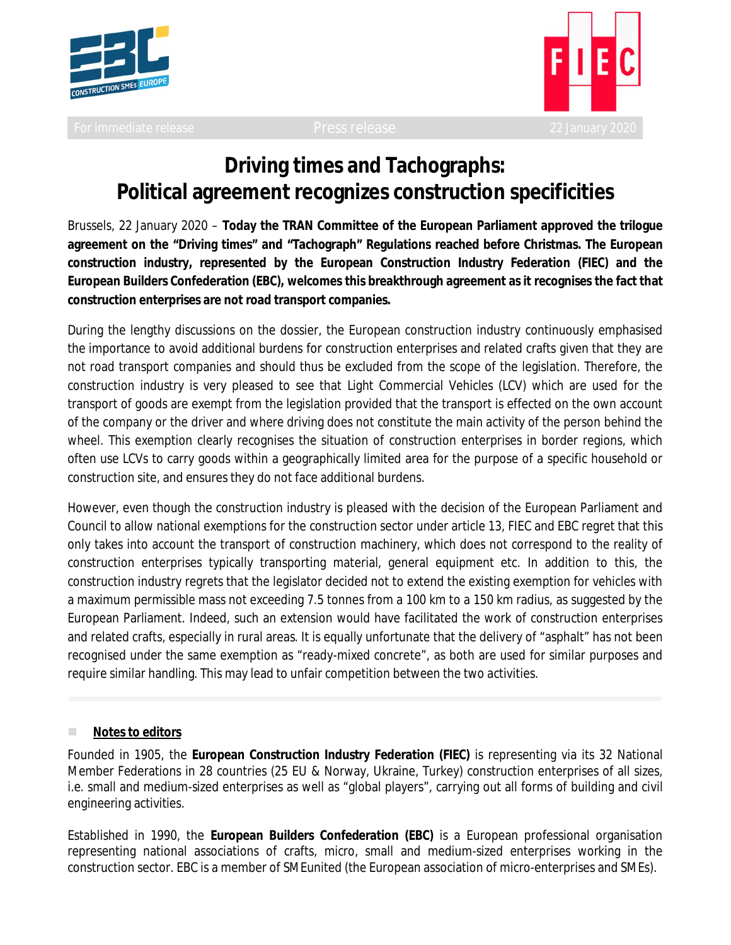



# **Driving times and Tachographs: Political agreement recognizes construction specificities**

Brussels, 22 January 2020 – **Today the TRAN Committee of the European Parliament approved the trilogue agreement on the "Driving times" and "Tachograph" Regulations reached before Christmas. The European construction industry, represented by the European Construction Industry Federation (FIEC) and the European Builders Confederation (EBC), welcomes this breakthrough agreement as it recognises the fact that construction enterprises are not road transport companies.**

During the lengthy discussions on the dossier, the European construction industry continuously emphasised the importance to avoid additional burdens for construction enterprises and related crafts given that they are not road transport companies and should thus be excluded from the scope of the legislation. Therefore, the construction industry is very pleased to see that Light Commercial Vehicles (LCV) which are used for the transport of goods are exempt from the legislation provided that the transport is effected on the own account of the company or the driver and where driving does not constitute the main activity of the person behind the wheel. This exemption clearly recognises the situation of construction enterprises in border regions, which often use LCVs to carry goods within a geographically limited area for the purpose of a specific household or construction site, and ensures they do not face additional burdens.

However, even though the construction industry is pleased with the decision of the European Parliament and Council to allow national exemptions for the construction sector under article 13, FIEC and EBC regret that this only takes into account the transport of construction machinery, which does not correspond to the reality of construction enterprises typically transporting material, general equipment etc. In addition to this, the construction industry regrets that the legislator decided not to extend the existing exemption for vehicles with a maximum permissible mass not exceeding 7.5 tonnes from a 100 km to a 150 km radius, as suggested by the European Parliament. Indeed, such an extension would have facilitated the work of construction enterprises and related crafts, especially in rural areas. It is equally unfortunate that the delivery of "asphalt" has not been recognised under the same exemption as "ready-mixed concrete", as both are used for similar purposes and require similar handling. This may lead to unfair competition between the two activities.

#### **Notes to editors**

Founded in 1905, the **European Construction Industry Federation (FIEC)** is representing via its 32 National Member Federations in 28 countries (25 EU & Norway, Ukraine, Turkey) construction enterprises of all sizes, i.e. small and medium-sized enterprises as well as "global players", carrying out all forms of building and civil engineering activities.

Established in 1990, the **European Builders Confederation (EBC)** is a European professional organisation representing national associations of crafts, micro, small and medium-sized enterprises working in the construction sector. EBC is a member of SMEunited (the European association of micro-enterprises and SMEs).